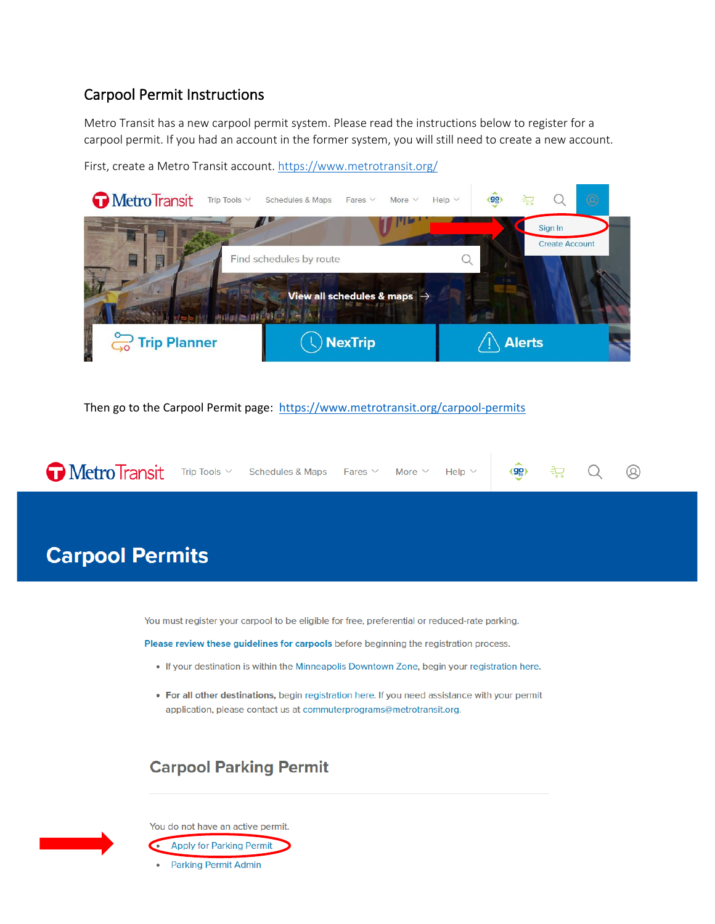#### Carpool Permit Instructions

Metro Transit has a new carpool permit system. Please read the instructions below to register for a carpool permit. If you had an account in the former system, you will still need to create a new account.

First, create a Metro Transit account.<https://www.metrotransit.org/>



Then go to the Carpool Permit page: <https://www.metrotransit.org/carpool-permits>



# **Carpool Permits**

You must register your carpool to be eligible for free, preferential or reduced-rate parking.

Please review these guidelines for carpools before beginning the registration process.

- . If your destination is within the Minneapolis Downtown Zone, begin your registration here.
- . For all other destinations, begin registration here. If you need assistance with your permit application, please contact us at commuterprograms@metrotransit.org.

### **Carpool Parking Permit**



You do not have an active permit.

- **Apply for Parking Permit**
- **Parking Permit Admin**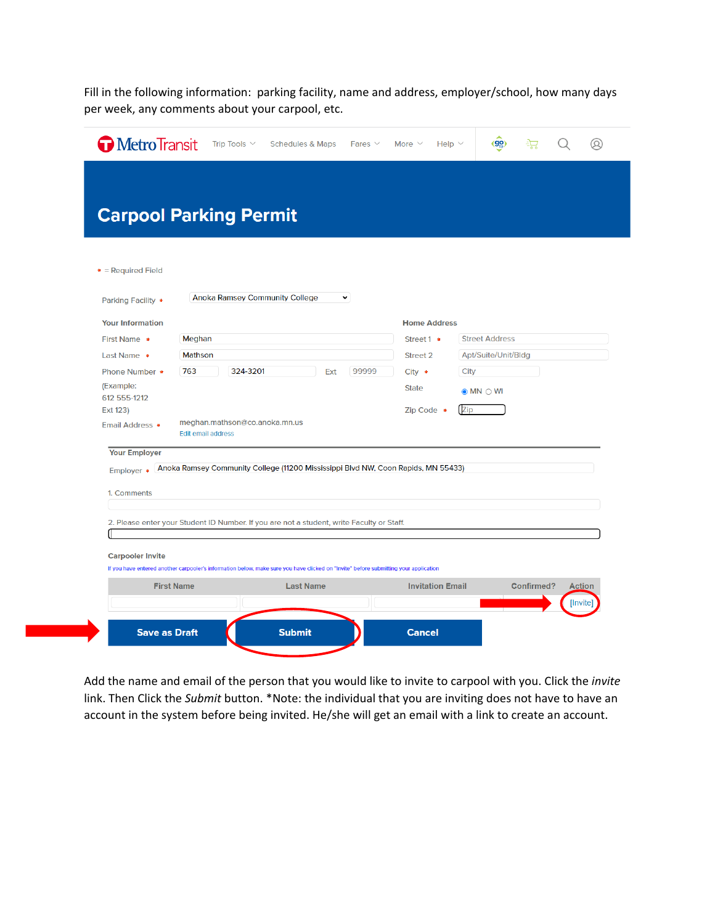Fill in the following information: parking facility, name and address, employer/school, how many days per week, any comments about your carpool, etc.

| MetroTransit                                      | Trip Tools $\vee$<br><b>Schedules &amp; Maps</b><br>Fares $\vee$                                                                     | (90)<br>Ω,<br>Help $\vee$<br>ਾਂ⊡<br>More $\vee$                        |
|---------------------------------------------------|--------------------------------------------------------------------------------------------------------------------------------------|------------------------------------------------------------------------|
| $*$ = Required Field                              | <b>Carpool Parking Permit</b>                                                                                                        |                                                                        |
| <b>Parking Facility •</b>                         | <b>Anoka Ramsey Community College</b><br>$\check{~}$                                                                                 |                                                                        |
| <b>Your Information</b>                           |                                                                                                                                      | <b>Home Address</b>                                                    |
| First Name •<br>Last Name *                       | Meghan<br><b>Mathson</b>                                                                                                             | <b>Street Address</b><br>Street 1 ·<br>Street 2<br>Apt/Suite/Unit/Bldg |
| Phone Number *                                    | 763<br>324-3201<br>99999<br>Ext                                                                                                      | City<br>$City *$                                                       |
| (Example:<br>612 555-1212                         |                                                                                                                                      | <b>State</b><br>$\odot$ MN $\odot$ WI                                  |
| Ext 123)<br>Email Address •                       | meghan.mathson@co.anoka.mn.us<br><b>Edit email address</b>                                                                           | Zip<br>Zip Code *                                                      |
| <b>Your Employer</b><br>Employer *<br>1. Comments | Anoka Ramsey Community College (11200 Mississippi Blvd NW, Coon Rapids, MN 55433)                                                    |                                                                        |
|                                                   | 2. Please enter your Student ID Number. If you are not a student, write Faculty or Staff.                                            |                                                                        |
| <b>Carpooler Invite</b>                           | If you have entered another carpooler's information below, make sure you have clicked on "Invite" before submitting your application |                                                                        |
|                                                   | <b>First Name</b><br><b>Last Name</b>                                                                                                | <b>Invitation Email</b><br><b>Confirmed?</b><br><b>Action</b>          |
|                                                   |                                                                                                                                      | [Invite]                                                               |
|                                                   | <b>Save as Draft</b><br><b>Submit</b>                                                                                                | <b>Cancel</b>                                                          |

Add the name and email of the person that you would like to invite to carpool with you. Click the *invite* link. Then Click the *Submit* button. \*Note: the individual that you are inviting does not have to have an account in the system before being invited. He/she will get an email with a link to create an account.